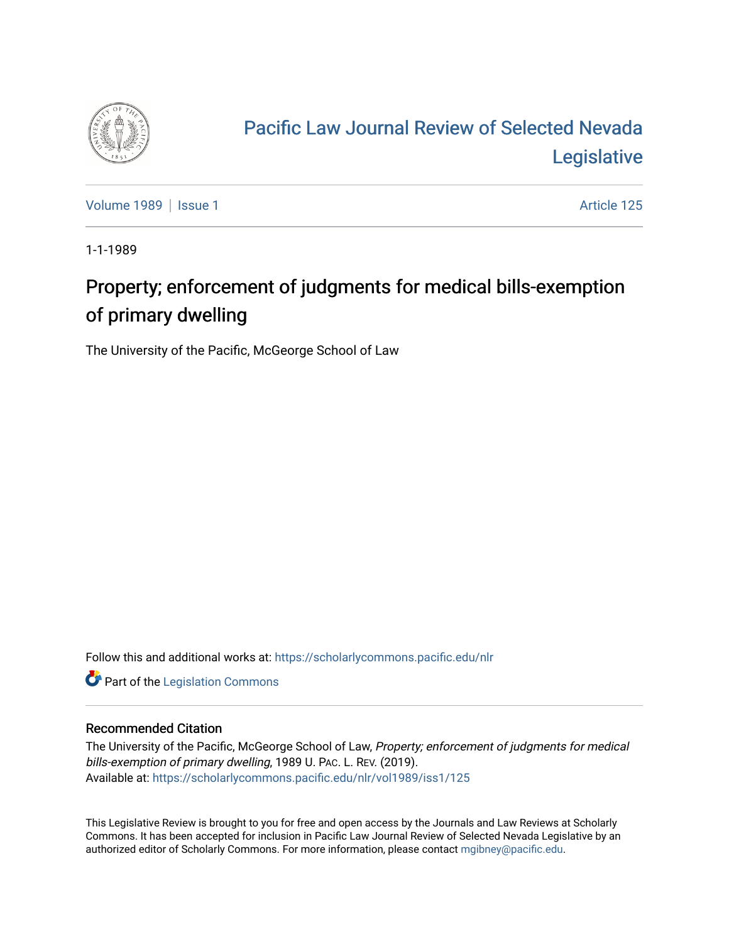

## [Pacific Law Journal Review of Selected Nevada](https://scholarlycommons.pacific.edu/nlr)  [Legislative](https://scholarlycommons.pacific.edu/nlr)

[Volume 1989](https://scholarlycommons.pacific.edu/nlr/vol1989) | [Issue 1](https://scholarlycommons.pacific.edu/nlr/vol1989/iss1) Article 125

1-1-1989

## Property; enforcement of judgments for medical bills-exemption of primary dwelling

The University of the Pacific, McGeorge School of Law

Follow this and additional works at: [https://scholarlycommons.pacific.edu/nlr](https://scholarlycommons.pacific.edu/nlr?utm_source=scholarlycommons.pacific.edu%2Fnlr%2Fvol1989%2Fiss1%2F125&utm_medium=PDF&utm_campaign=PDFCoverPages) 

**Part of the [Legislation Commons](http://network.bepress.com/hgg/discipline/859?utm_source=scholarlycommons.pacific.edu%2Fnlr%2Fvol1989%2Fiss1%2F125&utm_medium=PDF&utm_campaign=PDFCoverPages)** 

## Recommended Citation

The University of the Pacific, McGeorge School of Law, Property; enforcement of judgments for medical bills-exemption of primary dwelling, 1989 U. PAC. L. REV. (2019). Available at: [https://scholarlycommons.pacific.edu/nlr/vol1989/iss1/125](https://scholarlycommons.pacific.edu/nlr/vol1989/iss1/125?utm_source=scholarlycommons.pacific.edu%2Fnlr%2Fvol1989%2Fiss1%2F125&utm_medium=PDF&utm_campaign=PDFCoverPages) 

This Legislative Review is brought to you for free and open access by the Journals and Law Reviews at Scholarly Commons. It has been accepted for inclusion in Pacific Law Journal Review of Selected Nevada Legislative by an authorized editor of Scholarly Commons. For more information, please contact [mgibney@pacific.edu](mailto:mgibney@pacific.edu).